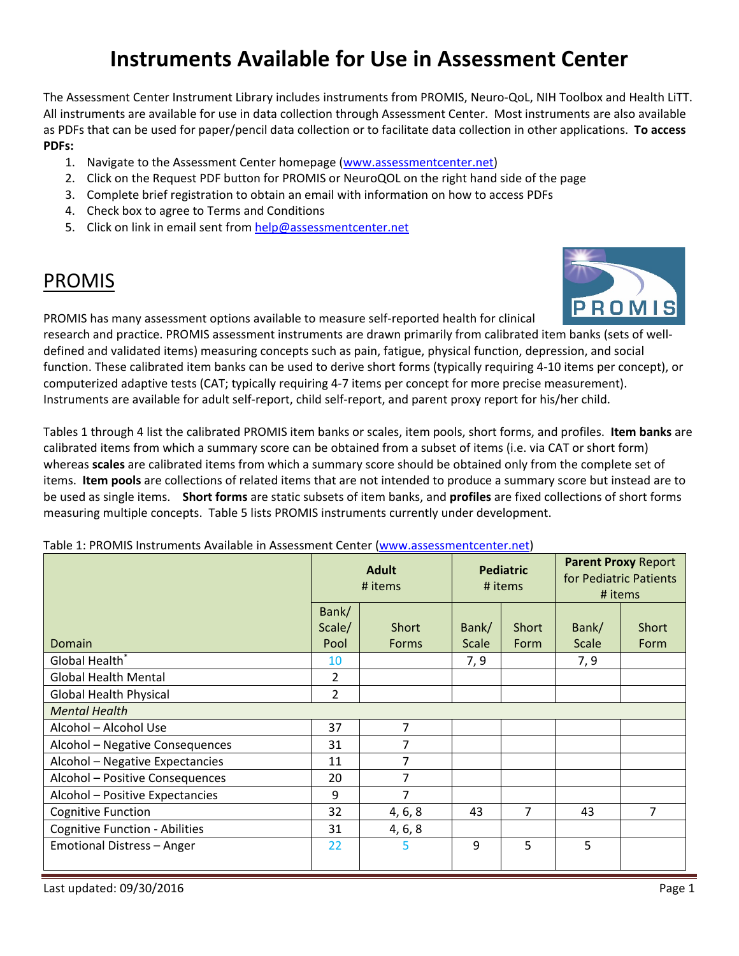# **Instruments Available for Use in Assessment Center**

The Assessment Center Instrument Library includes instruments from PROMIS, Neuro-QoL, NIH Toolbox and Health LiTT. All instruments are available for use in data collection through Assessment Center. Most instruments are also available as PDFs that can be used for paper/pencil data collection or to facilitate data collection in other applications. **To access PDFs:**

- 1. Navigate to the Assessment Center homepage [\(www.assessmentcenter.net\)](http://www.assessmentcenter.net/)
- 2. Click on the Request PDF button for PROMIS or NeuroQOL on the right hand side of the page
- 3. Complete brief registration to obtain an email with information on how to access PDFs
- 4. Check box to agree to Terms and Conditions
- 5. Click on link in email sent from [help@assessmentcenter.net](mailto:help@assessmentcenter.net)

# PROMIS



PROMIS has many assessment options available to measure self-reported health for clinical research and practice. PROMIS assessment instruments are drawn primarily from calibrated item banks (sets of well-

defined and validated items) measuring concepts such as pain, fatigue, physical function, depression, and social function. These calibrated item banks can be used to derive short forms (typically requiring 4-10 items per concept), or computerized adaptive tests (CAT; typically requiring 4-7 items per concept for more precise measurement). Instruments are available for adult self-report, child self-report, and parent proxy report for his/her child.

Tables 1 through 4 list the calibrated PROMIS item banks or scales, item pools, short forms, and profiles. **Item banks** are calibrated items from which a summary score can be obtained from a subset of items (i.e. via CAT or short form) whereas **scales** are calibrated items from which a summary score should be obtained only from the complete set of items. **Item pools** are collections of related items that are not intended to produce a summary score but instead are to be used as single items. **Short forms** are static subsets of item banks, and **profiles** are fixed collections of short forms measuring multiple concepts. Table 5 lists PROMIS instruments currently under development.

#### Table 1: PROMIS Instruments Available in Assessment Center [\(www.assessmentcenter.net\)](http://www.assessmentcenter.net/)

|                                       | <b>Adult</b><br># items |                | <b>Pediatric</b><br># items |               | <b>Parent Proxy Report</b><br>for Pediatric Patients<br># items |               |
|---------------------------------------|-------------------------|----------------|-----------------------------|---------------|-----------------------------------------------------------------|---------------|
| Domain                                | Bank/<br>Scale/<br>Pool | Short<br>Forms | Bank/<br><b>Scale</b>       | Short<br>Form | Bank/<br><b>Scale</b>                                           | Short<br>Form |
| Global Health*                        | 10                      |                | 7, 9                        |               | 7, 9                                                            |               |
| <b>Global Health Mental</b>           | $\overline{2}$          |                |                             |               |                                                                 |               |
| Global Health Physical                | $\overline{2}$          |                |                             |               |                                                                 |               |
| <b>Mental Health</b>                  |                         |                |                             |               |                                                                 |               |
| Alcohol - Alcohol Use                 | 37                      | 7              |                             |               |                                                                 |               |
| Alcohol - Negative Consequences       | 31                      | $\overline{7}$ |                             |               |                                                                 |               |
| Alcohol - Negative Expectancies       | 11                      | 7              |                             |               |                                                                 |               |
| Alcohol - Positive Consequences       | 20                      | 7              |                             |               |                                                                 |               |
| Alcohol - Positive Expectancies       | 9                       | 7              |                             |               |                                                                 |               |
| <b>Cognitive Function</b>             | 32                      | 4, 6, 8        | 43                          | 7             | 43                                                              | 7             |
| <b>Cognitive Function - Abilities</b> | 31                      | 4, 6, 8        |                             |               |                                                                 |               |
| Emotional Distress - Anger            | 22                      | 5              | 9                           | 5             | 5                                                               |               |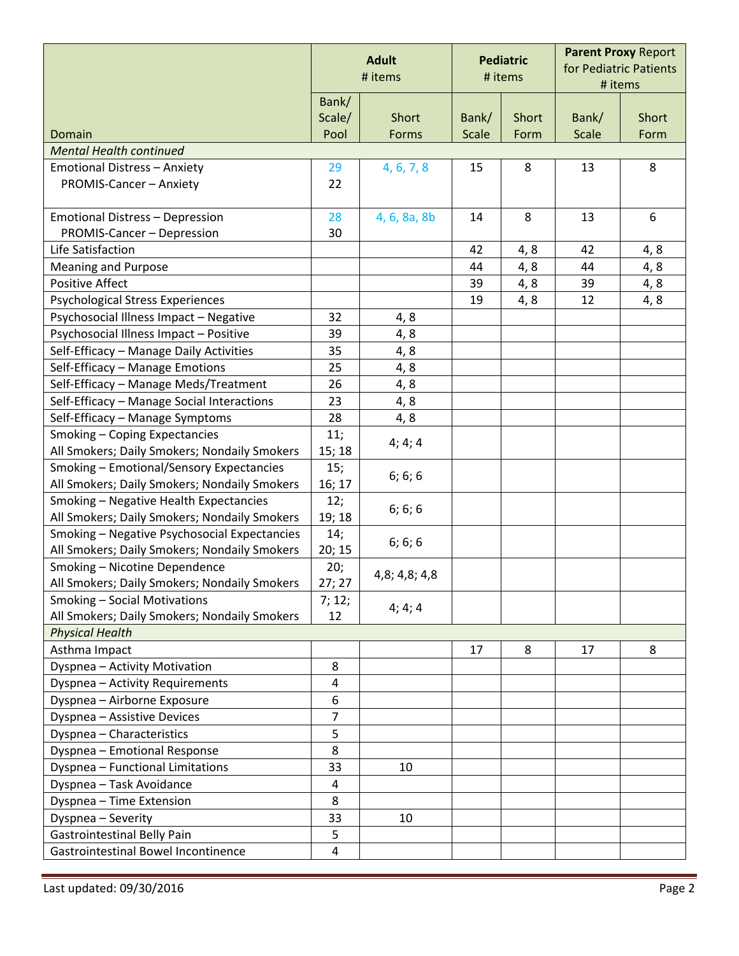|                                              | <b>Adult</b><br># items |               | <b>Pediatric</b><br># items |       | <b>Parent Proxy Report</b><br>for Pediatric Patients<br># items |       |
|----------------------------------------------|-------------------------|---------------|-----------------------------|-------|-----------------------------------------------------------------|-------|
|                                              | Bank/                   |               |                             |       |                                                                 |       |
|                                              | Scale/                  | Short         | Bank/                       | Short | Bank/                                                           | Short |
| Domain                                       | Pool                    | Forms         | <b>Scale</b>                | Form  | <b>Scale</b>                                                    | Form  |
| <b>Mental Health continued</b>               |                         |               |                             |       |                                                                 |       |
| <b>Emotional Distress - Anxiety</b>          | 29                      | 4, 6, 7, 8    | 15                          | 8     | 13                                                              | 8     |
| PROMIS-Cancer - Anxiety                      | 22                      |               |                             |       |                                                                 |       |
| <b>Emotional Distress - Depression</b>       | 28                      | 4, 6, 8a, 8b  | 14                          | 8     | 13                                                              | 6     |
| PROMIS-Cancer - Depression                   | 30                      |               |                             |       |                                                                 |       |
| Life Satisfaction                            |                         |               | 42                          | 4, 8  | 42                                                              | 4, 8  |
| <b>Meaning and Purpose</b>                   |                         |               | 44                          | 4, 8  | 44                                                              | 4, 8  |
| <b>Positive Affect</b>                       |                         |               | 39                          | 4, 8  | 39                                                              | 4, 8  |
| Psychological Stress Experiences             |                         |               | 19                          | 4, 8  | 12                                                              | 4, 8  |
| Psychosocial Illness Impact - Negative       | 32                      | 4, 8          |                             |       |                                                                 |       |
| Psychosocial Illness Impact - Positive       | 39                      | 4,8           |                             |       |                                                                 |       |
| Self-Efficacy - Manage Daily Activities      | 35                      | 4,8           |                             |       |                                                                 |       |
| Self-Efficacy - Manage Emotions              | 25                      | 4, 8          |                             |       |                                                                 |       |
| Self-Efficacy - Manage Meds/Treatment        | 26                      | 4,8           |                             |       |                                                                 |       |
| Self-Efficacy - Manage Social Interactions   | 23                      | 4,8           |                             |       |                                                                 |       |
| Self-Efficacy - Manage Symptoms              | 28                      | 4,8           |                             |       |                                                                 |       |
| Smoking - Coping Expectancies                | 11;                     |               |                             |       |                                                                 |       |
| All Smokers; Daily Smokers; Nondaily Smokers | 15; 18                  | 4; 4; 4       |                             |       |                                                                 |       |
| Smoking - Emotional/Sensory Expectancies     | 15;                     | 6; 6; 6       |                             |       |                                                                 |       |
| All Smokers; Daily Smokers; Nondaily Smokers | 16; 17                  |               |                             |       |                                                                 |       |
| Smoking - Negative Health Expectancies       | 12;                     | 6; 6; 6       |                             |       |                                                                 |       |
| All Smokers; Daily Smokers; Nondaily Smokers | 19; 18                  |               |                             |       |                                                                 |       |
| Smoking - Negative Psychosocial Expectancies | 14;                     | 6; 6; 6       |                             |       |                                                                 |       |
| All Smokers; Daily Smokers; Nondaily Smokers | 20; 15                  |               |                             |       |                                                                 |       |
| Smoking - Nicotine Dependence                | 20;                     | 4,8; 4,8; 4,8 |                             |       |                                                                 |       |
| All Smokers; Daily Smokers; Nondaily Smokers | 27; 27                  |               |                             |       |                                                                 |       |
| Smoking - Social Motivations                 | 7; 12;                  | 4; 4; 4       |                             |       |                                                                 |       |
| All Smokers; Daily Smokers; Nondaily Smokers | 12                      |               |                             |       |                                                                 |       |
| <b>Physical Health</b>                       |                         |               |                             |       |                                                                 |       |
| Asthma Impact                                |                         |               | 17                          | 8     | 17                                                              | 8     |
| Dyspnea - Activity Motivation                | 8                       |               |                             |       |                                                                 |       |
| Dyspnea - Activity Requirements              | $\overline{\mathbf{4}}$ |               |                             |       |                                                                 |       |
| Dyspnea - Airborne Exposure                  | 6                       |               |                             |       |                                                                 |       |
| Dyspnea - Assistive Devices                  | 7                       |               |                             |       |                                                                 |       |
| Dyspnea - Characteristics                    | 5                       |               |                             |       |                                                                 |       |
| Dyspnea - Emotional Response                 | 8                       |               |                             |       |                                                                 |       |
| Dyspnea - Functional Limitations             | 33                      | 10            |                             |       |                                                                 |       |
| Dyspnea - Task Avoidance                     | 4                       |               |                             |       |                                                                 |       |
| Dyspnea - Time Extension                     | 8                       |               |                             |       |                                                                 |       |
| Dyspnea - Severity                           | 33                      | 10            |                             |       |                                                                 |       |
| <b>Gastrointestinal Belly Pain</b>           | 5                       |               |                             |       |                                                                 |       |
| Gastrointestinal Bowel Incontinence          | 4                       |               |                             |       |                                                                 |       |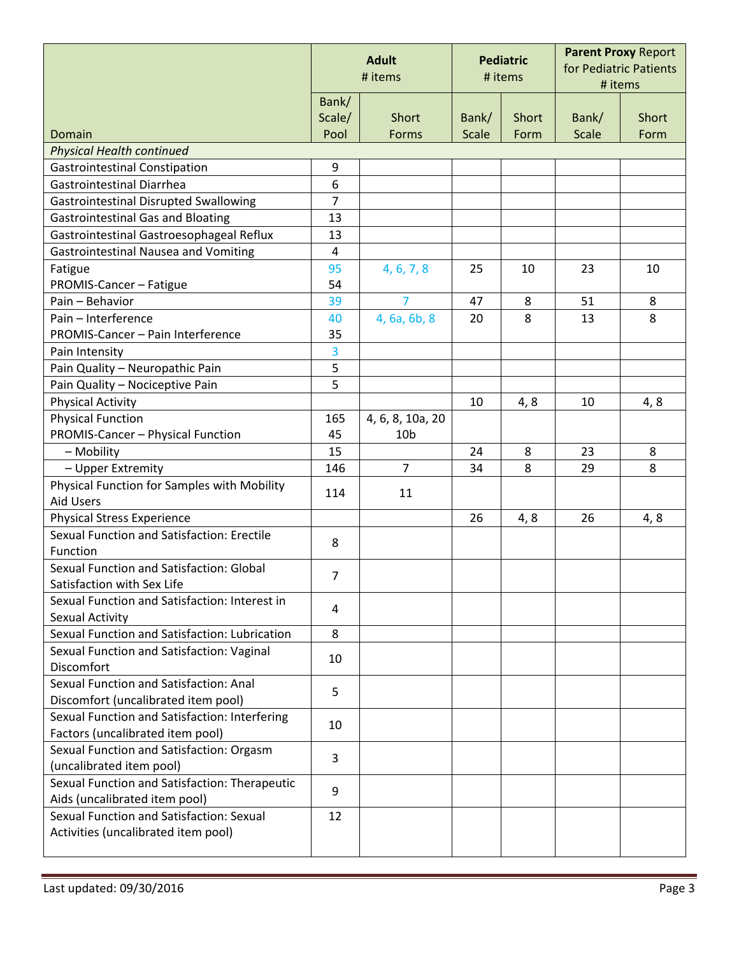|                                               | <b>Adult</b><br># items |                  | <b>Pediatric</b><br># items |               | <b>Parent Proxy Report</b><br>for Pediatric Patients<br># items |               |
|-----------------------------------------------|-------------------------|------------------|-----------------------------|---------------|-----------------------------------------------------------------|---------------|
|                                               | Bank/                   |                  |                             |               |                                                                 |               |
| Domain                                        | Scale/<br>Pool          | Short<br>Forms   | Bank/<br><b>Scale</b>       | Short<br>Form | Bank/<br><b>Scale</b>                                           | Short<br>Form |
| <b>Physical Health continued</b>              |                         |                  |                             |               |                                                                 |               |
| <b>Gastrointestinal Constipation</b>          | 9                       |                  |                             |               |                                                                 |               |
| <b>Gastrointestinal Diarrhea</b>              | 6                       |                  |                             |               |                                                                 |               |
| <b>Gastrointestinal Disrupted Swallowing</b>  | $\overline{7}$          |                  |                             |               |                                                                 |               |
| <b>Gastrointestinal Gas and Bloating</b>      | 13                      |                  |                             |               |                                                                 |               |
| Gastrointestinal Gastroesophageal Reflux      | 13                      |                  |                             |               |                                                                 |               |
| Gastrointestinal Nausea and Vomiting          | $\overline{\mathbf{4}}$ |                  |                             |               |                                                                 |               |
| Fatigue                                       | 95                      | 4, 6, 7, 8       | 25                          | 10            | 23                                                              | 10            |
| PROMIS-Cancer - Fatigue                       | 54                      |                  |                             |               |                                                                 |               |
| Pain - Behavior                               | 39                      | 7                | 47                          | 8             | 51                                                              | 8             |
| Pain - Interference                           | 40                      | 4, 6a, 6b, 8     | 20                          | 8             | 13                                                              | 8             |
| PROMIS-Cancer - Pain Interference             | 35                      |                  |                             |               |                                                                 |               |
| Pain Intensity                                | $\overline{\mathbf{3}}$ |                  |                             |               |                                                                 |               |
| Pain Quality - Neuropathic Pain               | 5                       |                  |                             |               |                                                                 |               |
| Pain Quality - Nociceptive Pain               | 5                       |                  |                             |               |                                                                 |               |
| <b>Physical Activity</b>                      |                         |                  | 10                          | 4, 8          | 10                                                              | 4, 8          |
| <b>Physical Function</b>                      | 165                     | 4, 6, 8, 10a, 20 |                             |               |                                                                 |               |
| PROMIS-Cancer - Physical Function             | 45                      | 10 <sub>b</sub>  |                             |               |                                                                 |               |
| - Mobility                                    | 15                      |                  | 24                          | 8             | 23                                                              | 8             |
| - Upper Extremity                             | 146                     | $\overline{7}$   | 34                          | 8             | 29                                                              | 8             |
| Physical Function for Samples with Mobility   |                         |                  |                             |               |                                                                 |               |
| <b>Aid Users</b>                              | 114                     | 11               |                             |               |                                                                 |               |
| <b>Physical Stress Experience</b>             |                         |                  | 26                          | 4,8           | 26                                                              | 4, 8          |
| Sexual Function and Satisfaction: Erectile    | 8                       |                  |                             |               |                                                                 |               |
| Function                                      |                         |                  |                             |               |                                                                 |               |
| Sexual Function and Satisfaction: Global      | $\overline{7}$          |                  |                             |               |                                                                 |               |
| Satisfaction with Sex Life                    |                         |                  |                             |               |                                                                 |               |
| Sexual Function and Satisfaction: Interest in | 4                       |                  |                             |               |                                                                 |               |
| Sexual Activity                               |                         |                  |                             |               |                                                                 |               |
| Sexual Function and Satisfaction: Lubrication | 8                       |                  |                             |               |                                                                 |               |
| Sexual Function and Satisfaction: Vaginal     | 10                      |                  |                             |               |                                                                 |               |
| Discomfort                                    |                         |                  |                             |               |                                                                 |               |
| Sexual Function and Satisfaction: Anal        | 5                       |                  |                             |               |                                                                 |               |
| Discomfort (uncalibrated item pool)           |                         |                  |                             |               |                                                                 |               |
| Sexual Function and Satisfaction: Interfering | 10                      |                  |                             |               |                                                                 |               |
| Factors (uncalibrated item pool)              |                         |                  |                             |               |                                                                 |               |
| Sexual Function and Satisfaction: Orgasm      | 3                       |                  |                             |               |                                                                 |               |
| (uncalibrated item pool)                      |                         |                  |                             |               |                                                                 |               |
| Sexual Function and Satisfaction: Therapeutic | 9                       |                  |                             |               |                                                                 |               |
| Aids (uncalibrated item pool)                 |                         |                  |                             |               |                                                                 |               |
| Sexual Function and Satisfaction: Sexual      | 12                      |                  |                             |               |                                                                 |               |
| Activities (uncalibrated item pool)           |                         |                  |                             |               |                                                                 |               |
|                                               |                         |                  |                             |               |                                                                 |               |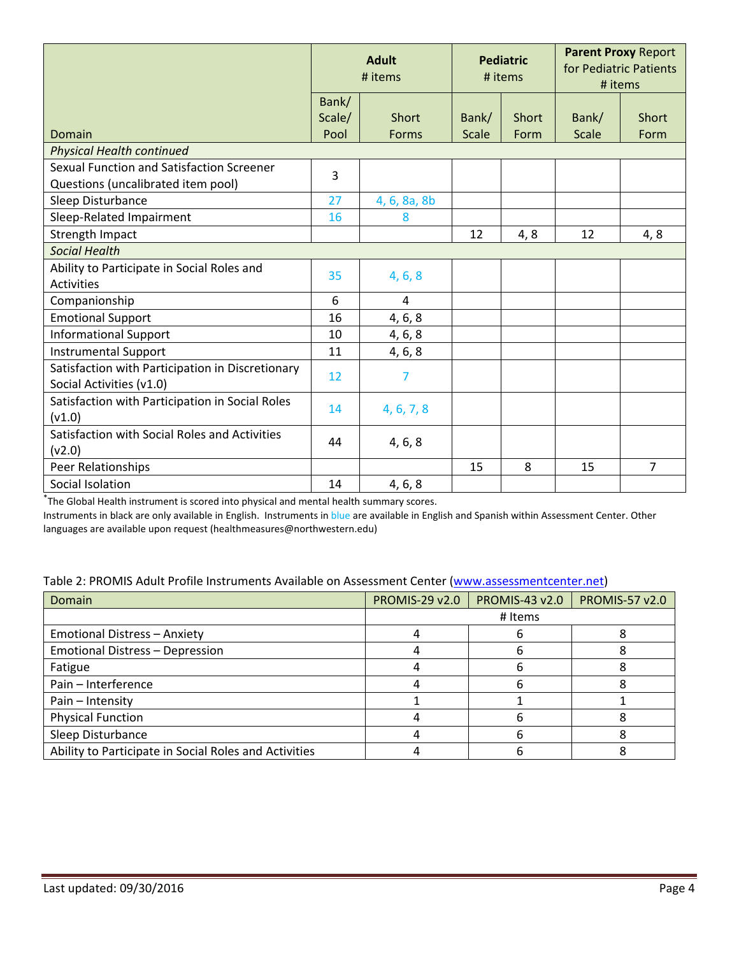|                                                                                 | <b>Adult</b><br># items |              | <b>Pediatric</b><br># items |       | <b>Parent Proxy Report</b><br>for Pediatric Patients<br># items |                |  |
|---------------------------------------------------------------------------------|-------------------------|--------------|-----------------------------|-------|-----------------------------------------------------------------|----------------|--|
|                                                                                 | Bank/<br>Scale/         | Short        | Bank/                       | Short | Bank/                                                           | <b>Short</b>   |  |
| Domain                                                                          | Pool                    | Forms        | <b>Scale</b>                | Form  | <b>Scale</b>                                                    | Form           |  |
| <b>Physical Health continued</b>                                                |                         |              |                             |       |                                                                 |                |  |
| Sexual Function and Satisfaction Screener<br>Questions (uncalibrated item pool) | 3                       |              |                             |       |                                                                 |                |  |
| Sleep Disturbance                                                               | 27                      | 4, 6, 8a, 8b |                             |       |                                                                 |                |  |
| Sleep-Related Impairment                                                        | 16                      | 8            |                             |       |                                                                 |                |  |
| Strength Impact                                                                 |                         |              | 12                          | 4, 8  | 12                                                              | 4, 8           |  |
| <b>Social Health</b>                                                            |                         |              |                             |       |                                                                 |                |  |
| Ability to Participate in Social Roles and<br>Activities                        | 35                      | 4, 6, 8      |                             |       |                                                                 |                |  |
| Companionship                                                                   | 6                       | 4            |                             |       |                                                                 |                |  |
| <b>Emotional Support</b>                                                        | 16                      | 4, 6, 8      |                             |       |                                                                 |                |  |
| <b>Informational Support</b>                                                    | 10                      | 4, 6, 8      |                             |       |                                                                 |                |  |
| <b>Instrumental Support</b>                                                     | 11                      | 4, 6, 8      |                             |       |                                                                 |                |  |
| Satisfaction with Participation in Discretionary<br>Social Activities (v1.0)    | 12                      | 7            |                             |       |                                                                 |                |  |
| Satisfaction with Participation in Social Roles<br>(v1.0)                       | 14                      | 4, 6, 7, 8   |                             |       |                                                                 |                |  |
| Satisfaction with Social Roles and Activities<br>(v2.0)                         | 44                      | 4, 6, 8      |                             |       |                                                                 |                |  |
| Peer Relationships                                                              |                         |              | 15                          | 8     | 15                                                              | $\overline{7}$ |  |
| Social Isolation                                                                | 14                      | 4, 6, 8      |                             |       |                                                                 |                |  |

\* The Global Health instrument is scored into physical and mental health summary scores.

Instruments in black are only available in English. Instruments in blue are available in English and Spanish within Assessment Center. Other languages are available upon request (healthmeasures@northwestern.edu)

## Table 2: PROMIS Adult Profile Instruments Available on Assessment Center [\(www.assessmentcenter.net\)](http://www.assessmentcenter.net/)

| Domain                                                | <b>PROMIS-29 v2.0</b> | <b>PROMIS-43 v2.0</b> | <b>PROMIS-57 v2.0</b> |
|-------------------------------------------------------|-----------------------|-----------------------|-----------------------|
|                                                       |                       | # Items               |                       |
| <b>Emotional Distress - Anxiety</b>                   |                       |                       |                       |
| <b>Emotional Distress - Depression</b>                |                       |                       |                       |
| Fatigue                                               |                       |                       |                       |
| Pain - Interference                                   |                       | h                     |                       |
| Pain - Intensity                                      |                       |                       |                       |
| <b>Physical Function</b>                              |                       |                       |                       |
| Sleep Disturbance                                     |                       |                       |                       |
| Ability to Participate in Social Roles and Activities |                       |                       |                       |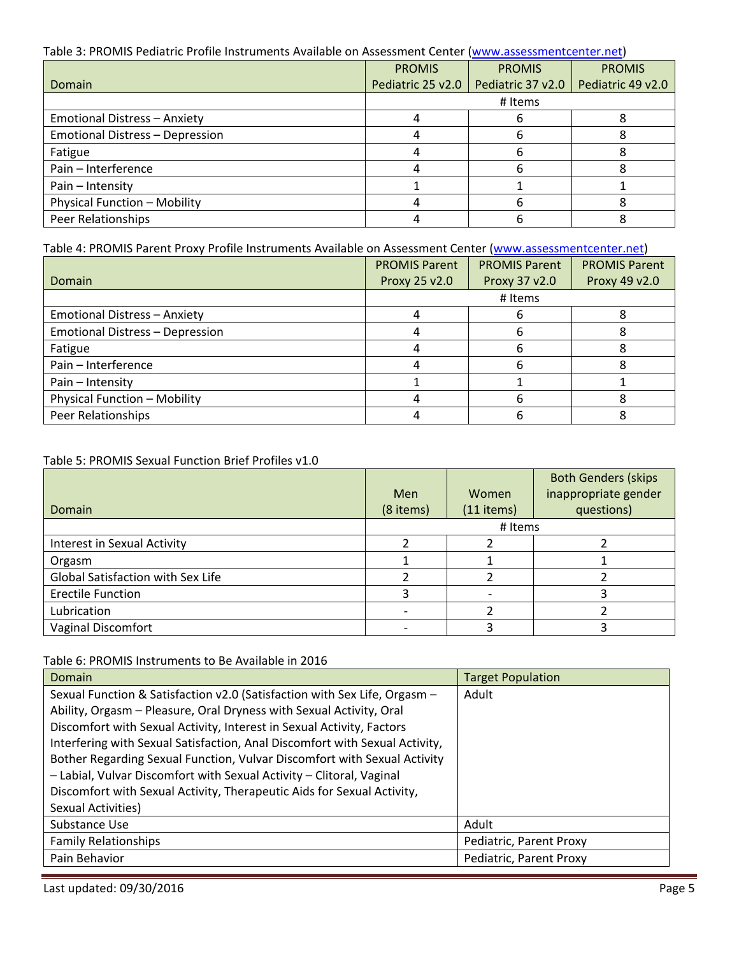## Table 3: PROMIS Pediatric Profile Instruments Available on Assessment Center [\(www.assessmentcenter.net\)](http://www.assessmentcenter.net/)

|                                        | <b>PROMIS</b>     | <b>PROMIS</b>     | <b>PROMIS</b>     |  |  |
|----------------------------------------|-------------------|-------------------|-------------------|--|--|
| Domain                                 | Pediatric 25 v2.0 | Pediatric 37 v2.0 | Pediatric 49 v2.0 |  |  |
|                                        | # Items           |                   |                   |  |  |
| <b>Emotional Distress - Anxiety</b>    |                   |                   |                   |  |  |
| <b>Emotional Distress - Depression</b> |                   | h                 |                   |  |  |
| Fatigue                                |                   | h                 |                   |  |  |
| Pain - Interference                    |                   |                   |                   |  |  |
| Pain - Intensity                       |                   |                   |                   |  |  |
| Physical Function - Mobility           |                   | h                 |                   |  |  |
| Peer Relationships                     |                   |                   |                   |  |  |

## Table 4: PROMIS Parent Proxy Profile Instruments Available on Assessment Center [\(www.assessmentcenter.net\)](http://www.assessmentcenter.net/)

|                                        | <b>PROMIS Parent</b> | <b>PROMIS Parent</b> |               |
|----------------------------------------|----------------------|----------------------|---------------|
| Domain                                 | Proxy 25 v2.0        | Proxy 37 v2.0        | Proxy 49 v2.0 |
|                                        |                      | # Items              |               |
| <b>Emotional Distress - Anxiety</b>    |                      |                      |               |
| <b>Emotional Distress - Depression</b> |                      |                      |               |
| Fatigue                                |                      | h                    |               |
| Pain - Interference                    |                      | h                    |               |
| Pain - Intensity                       |                      |                      |               |
| Physical Function - Mobility           |                      |                      |               |
| Peer Relationships                     |                      |                      |               |

## Table 5: PROMIS Sexual Function Brief Profiles v1.0

|                                   |           |              | <b>Both Genders (skips</b> |  |
|-----------------------------------|-----------|--------------|----------------------------|--|
|                                   | Men       | Women        | inappropriate gender       |  |
| Domain                            | (8 items) | $(11$ items) | questions)                 |  |
|                                   | # Items   |              |                            |  |
| Interest in Sexual Activity       |           |              |                            |  |
| Orgasm                            |           |              |                            |  |
| Global Satisfaction with Sex Life |           |              |                            |  |
| <b>Erectile Function</b>          |           |              |                            |  |
| Lubrication                       |           |              |                            |  |
| <b>Vaginal Discomfort</b>         |           |              |                            |  |

### Table 6: PROMIS Instruments to Be Available in 2016

| Domain                                                                      | <b>Target Population</b> |
|-----------------------------------------------------------------------------|--------------------------|
| Sexual Function & Satisfaction v2.0 (Satisfaction with Sex Life, Orgasm -   | Adult                    |
| Ability, Orgasm - Pleasure, Oral Dryness with Sexual Activity, Oral         |                          |
| Discomfort with Sexual Activity, Interest in Sexual Activity, Factors       |                          |
| Interfering with Sexual Satisfaction, Anal Discomfort with Sexual Activity, |                          |
| Bother Regarding Sexual Function, Vulvar Discomfort with Sexual Activity    |                          |
| - Labial, Vulvar Discomfort with Sexual Activity - Clitoral, Vaginal        |                          |
| Discomfort with Sexual Activity, Therapeutic Aids for Sexual Activity,      |                          |
| Sexual Activities)                                                          |                          |
| Substance Use                                                               | Adult                    |
| <b>Family Relationships</b>                                                 | Pediatric, Parent Proxy  |
| Pain Behavior                                                               | Pediatric, Parent Proxy  |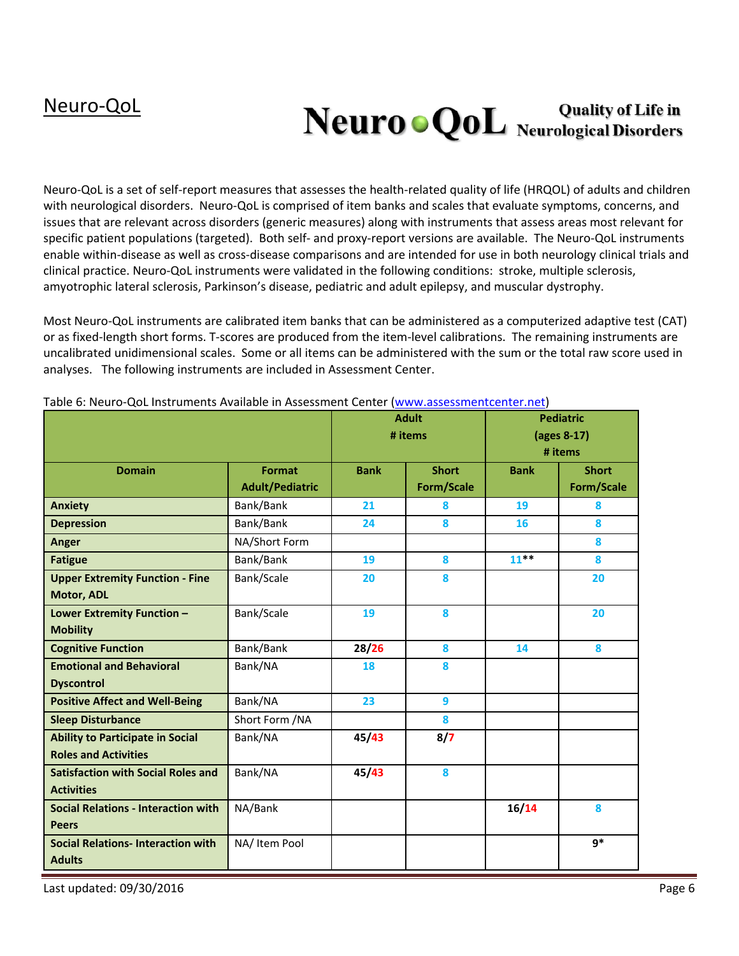# Neuro o QoL Neurological Disorders

Neuro-QoL is a set of self-report measures that assesses the health-related quality of life (HRQOL) of adults and children with neurological disorders. Neuro-QoL is comprised of item banks and scales that evaluate symptoms, concerns, and issues that are relevant across disorders (generic measures) along with instruments that assess areas most relevant for specific patient populations (targeted). Both self- and proxy-report versions are available. The Neuro-QoL instruments enable within-disease as well as cross-disease comparisons and are intended for use in both neurology clinical trials and clinical practice. Neuro-QoL instruments were validated in the following conditions: stroke, multiple sclerosis, amyotrophic lateral sclerosis, Parkinson's disease, pediatric and adult epilepsy, and muscular dystrophy.

Most Neuro-QoL instruments are calibrated item banks that can be administered as a computerized adaptive test (CAT) or as fixed-length short forms. T-scores are produced from the item-level calibrations. The remaining instruments are uncalibrated unidimensional scales. Some or all items can be administered with the sum or the total raw score used in analyses. The following instruments are included in Assessment Center.

|                                            |                        | <b>Adult</b> |                   | <b>Pediatric</b> |                   |
|--------------------------------------------|------------------------|--------------|-------------------|------------------|-------------------|
|                                            |                        |              | # items           | (ages 8-17)      |                   |
|                                            |                        |              |                   |                  | # items           |
| <b>Domain</b>                              | <b>Format</b>          | <b>Bank</b>  | <b>Short</b>      | <b>Bank</b>      | <b>Short</b>      |
|                                            | <b>Adult/Pediatric</b> |              | <b>Form/Scale</b> |                  | <b>Form/Scale</b> |
| <b>Anxiety</b>                             | Bank/Bank              | 21           | 8                 | 19               | 8                 |
| <b>Depression</b>                          | Bank/Bank              | 24           | 8                 | 16               | 8                 |
| Anger                                      | NA/Short Form          |              |                   |                  | 8                 |
| <b>Fatigue</b>                             | Bank/Bank              | 19           | 8                 | $11***$          | 8                 |
| <b>Upper Extremity Function - Fine</b>     | Bank/Scale             | 20           | 8                 |                  | 20                |
| <b>Motor, ADL</b>                          |                        |              |                   |                  |                   |
| Lower Extremity Function -                 | Bank/Scale             | 19           | 8                 |                  | 20                |
| <b>Mobility</b>                            |                        |              |                   |                  |                   |
| <b>Cognitive Function</b>                  | Bank/Bank              | 28/26        | 8                 | 14               | 8                 |
| <b>Emotional and Behavioral</b>            | Bank/NA                | 18           | 8                 |                  |                   |
| <b>Dyscontrol</b>                          |                        |              |                   |                  |                   |
| <b>Positive Affect and Well-Being</b>      | Bank/NA                | 23           | 9                 |                  |                   |
| <b>Sleep Disturbance</b>                   | Short Form /NA         |              | 8                 |                  |                   |
| <b>Ability to Participate in Social</b>    | Bank/NA                | 45/43        | 8/7               |                  |                   |
| <b>Roles and Activities</b>                |                        |              |                   |                  |                   |
| <b>Satisfaction with Social Roles and</b>  | Bank/NA                | 45/43        | 8                 |                  |                   |
| <b>Activities</b>                          |                        |              |                   |                  |                   |
| <b>Social Relations - Interaction with</b> | NA/Bank                |              |                   | 16/14            | 8                 |
| <b>Peers</b>                               |                        |              |                   |                  |                   |
| <b>Social Relations- Interaction with</b>  | NA/ Item Pool          |              |                   |                  | $q*$              |
| <b>Adults</b>                              |                        |              |                   |                  |                   |

Table 6: Neuro-QoL Instruments Available in Assessment Center [\(www.assessmentcenter.net\)](http://www.assessmentcenter.net/)

Last updated: 09/30/2016 **Page 6**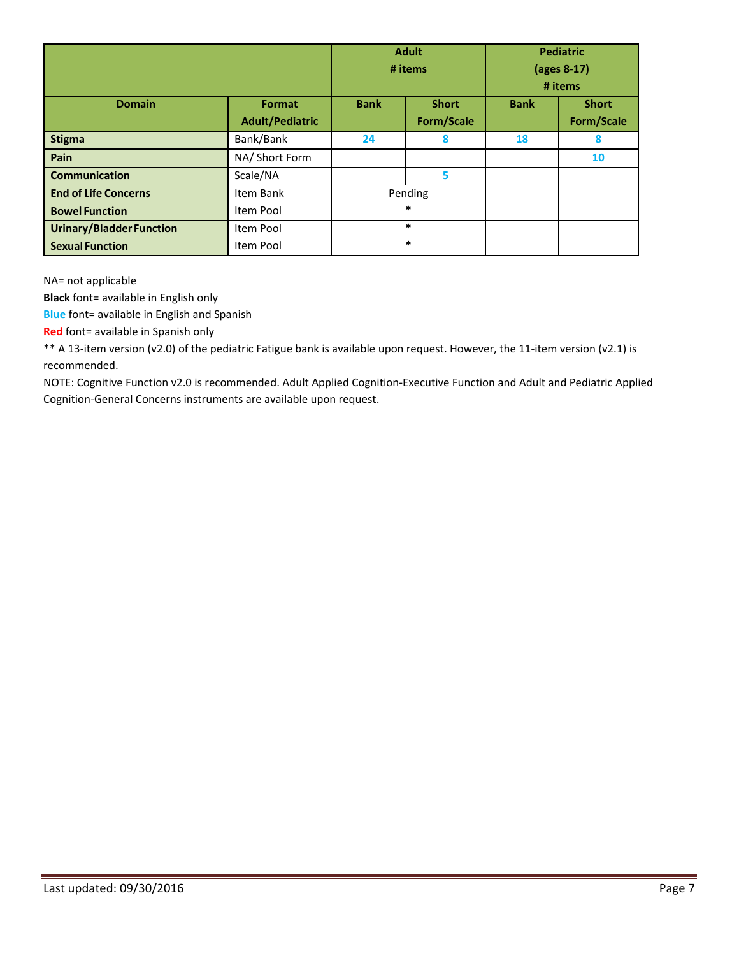|                                 |                                         | <b>Adult</b><br># items |                            | <b>Pediatric</b><br>(ages 8-17)<br># items |                            |
|---------------------------------|-----------------------------------------|-------------------------|----------------------------|--------------------------------------------|----------------------------|
| <b>Domain</b>                   | <b>Format</b><br><b>Adult/Pediatric</b> | <b>Bank</b>             | <b>Short</b><br>Form/Scale | <b>Bank</b>                                | <b>Short</b><br>Form/Scale |
| <b>Stigma</b>                   | Bank/Bank                               | 24                      | 8                          | 18                                         | 8                          |
| Pain                            | NA/ Short Form                          |                         |                            |                                            | 10                         |
| <b>Communication</b>            | Scale/NA                                |                         | 5                          |                                            |                            |
| <b>End of Life Concerns</b>     | Item Bank                               | Pending                 |                            |                                            |                            |
| <b>Bowel Function</b>           | Item Pool                               | *                       |                            |                                            |                            |
| <b>Urinary/Bladder Function</b> | Item Pool                               | $\ast$                  |                            |                                            |                            |
| <b>Sexual Function</b>          | Item Pool                               |                         | $\ast$                     |                                            |                            |

NA= not applicable

**Black** font= available in English only

**Blue** font= available in English and Spanish

**Red** font= available in Spanish only

\*\* A 13-item version (v2.0) of the pediatric Fatigue bank is available upon request. However, the 11-item version (v2.1) is recommended.

NOTE: Cognitive Function v2.0 is recommended. Adult Applied Cognition-Executive Function and Adult and Pediatric Applied Cognition-General Concerns instruments are available upon request.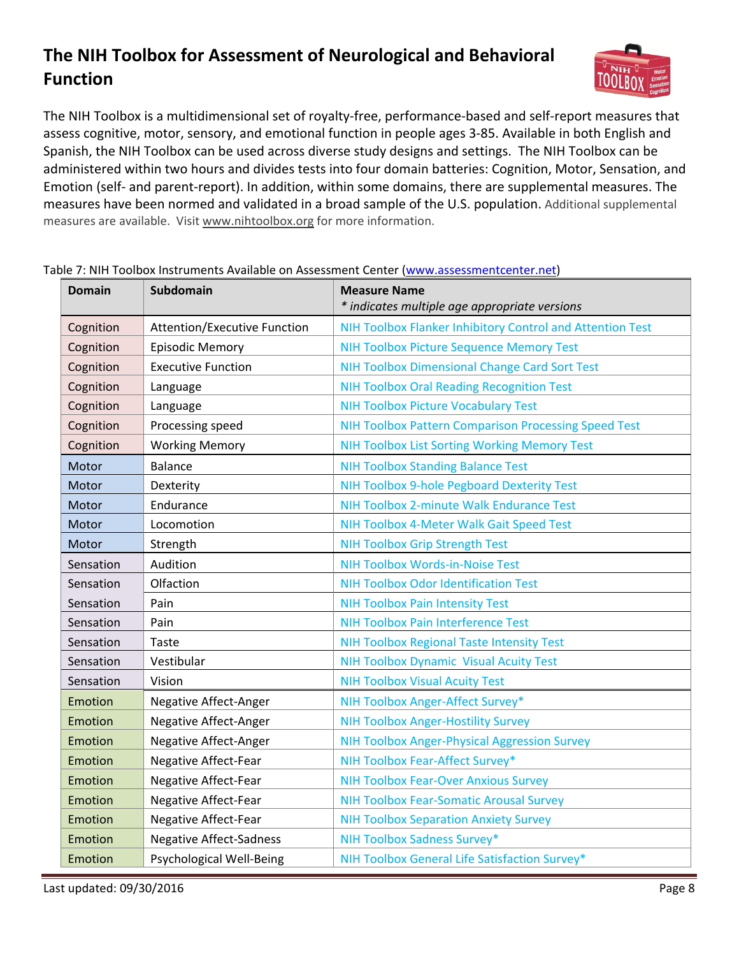# **The NIH Toolbox for Assessment of Neurological and Behavioral Function**



The NIH Toolbox is a multidimensional set of royalty-free, performance-based and self-report measures that assess cognitive, motor, sensory, and emotional function in people ages 3-85. Available in both English and Spanish, the NIH Toolbox can be used across diverse study designs and settings. The NIH Toolbox can be administered within two hours and divides tests into four domain batteries: Cognition, Motor, Sensation, and Emotion (self- and parent-report). In addition, within some domains, there are supplemental measures. The measures have been normed and validated in a broad sample of the U.S. population. Additional supplemental measures are available. Visit [www.nihtoolbox.org](http://www.nihtoolbox.org/) for more information.

| <b>Domain</b> | <b>Subdomain</b>                    | <b>Measure Name</b><br>* indicates multiple age appropriate versions |
|---------------|-------------------------------------|----------------------------------------------------------------------|
| Cognition     | <b>Attention/Executive Function</b> | NIH Toolbox Flanker Inhibitory Control and Attention Test            |
| Cognition     | <b>Episodic Memory</b>              | <b>NIH Toolbox Picture Sequence Memory Test</b>                      |
| Cognition     | <b>Executive Function</b>           | <b>NIH Toolbox Dimensional Change Card Sort Test</b>                 |
| Cognition     | Language                            | <b>NIH Toolbox Oral Reading Recognition Test</b>                     |
| Cognition     | Language                            | <b>NIH Toolbox Picture Vocabulary Test</b>                           |
| Cognition     | Processing speed                    | <b>NIH Toolbox Pattern Comparison Processing Speed Test</b>          |
| Cognition     | <b>Working Memory</b>               | <b>NIH Toolbox List Sorting Working Memory Test</b>                  |
| Motor         | <b>Balance</b>                      | <b>NIH Toolbox Standing Balance Test</b>                             |
| Motor         | Dexterity                           | NIH Toolbox 9-hole Pegboard Dexterity Test                           |
| Motor         | Endurance                           | NIH Toolbox 2-minute Walk Endurance Test                             |
| Motor         | Locomotion                          | NIH Toolbox 4-Meter Walk Gait Speed Test                             |
| Motor         | Strength                            | <b>NIH Toolbox Grip Strength Test</b>                                |
| Sensation     | Audition                            | <b>NIH Toolbox Words-in-Noise Test</b>                               |
| Sensation     | Olfaction                           | <b>NIH Toolbox Odor Identification Test</b>                          |
| Sensation     | Pain                                | <b>NIH Toolbox Pain Intensity Test</b>                               |
| Sensation     | Pain                                | <b>NIH Toolbox Pain Interference Test</b>                            |
| Sensation     | Taste                               | <b>NIH Toolbox Regional Taste Intensity Test</b>                     |
| Sensation     | Vestibular                          | <b>NIH Toolbox Dynamic Visual Acuity Test</b>                        |
| Sensation     | Vision                              | <b>NIH Toolbox Visual Acuity Test</b>                                |
| Emotion       | Negative Affect-Anger               | NIH Toolbox Anger-Affect Survey*                                     |
| Emotion       | Negative Affect-Anger               | <b>NIH Toolbox Anger-Hostility Survey</b>                            |
| Emotion       | Negative Affect-Anger               | <b>NIH Toolbox Anger-Physical Aggression Survey</b>                  |
| Emotion       | Negative Affect-Fear                | NIH Toolbox Fear-Affect Survey*                                      |
| Emotion       | Negative Affect-Fear                | <b>NIH Toolbox Fear-Over Anxious Survey</b>                          |
| Emotion       | Negative Affect-Fear                | <b>NIH Toolbox Fear-Somatic Arousal Survey</b>                       |
| Emotion       | Negative Affect-Fear                | <b>NIH Toolbox Separation Anxiety Survey</b>                         |
| Emotion       | <b>Negative Affect-Sadness</b>      | NIH Toolbox Sadness Survey*                                          |
| Emotion       | Psychological Well-Being            | NIH Toolbox General Life Satisfaction Survey*                        |

#### Table 7: NIH Toolbox Instruments Available on Assessment Center [\(www.assessmentcenter.net\)](http://www.assessmentcenter.net/)

Last updated: 09/30/2016 **Page 8**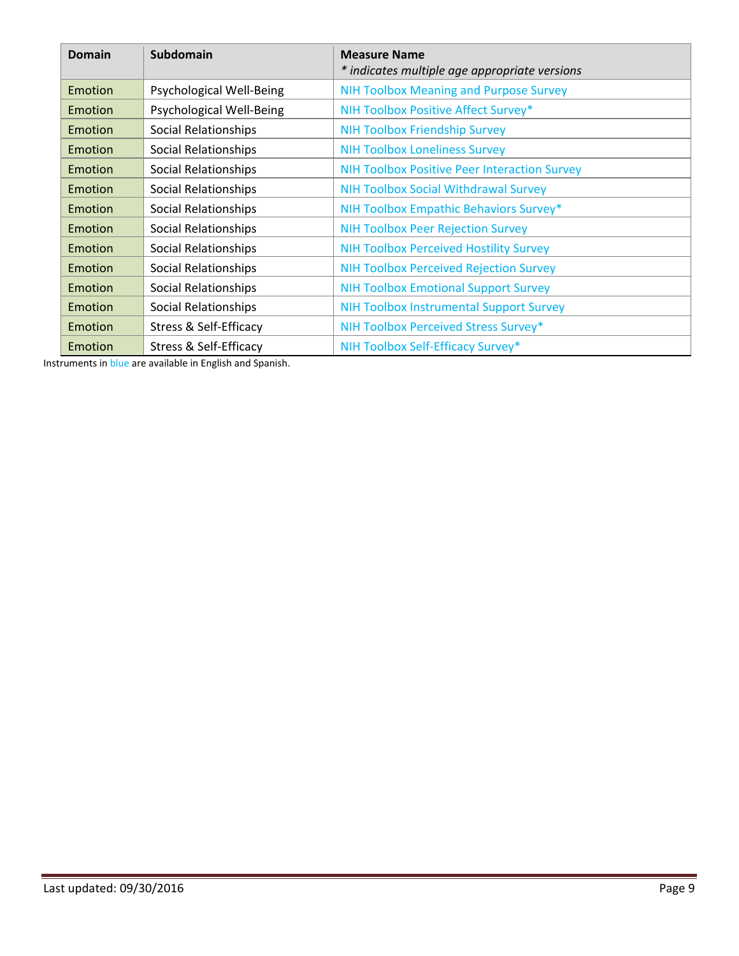| <b>Domain</b> | <b>Subdomain</b>                  | <b>Measure Name</b><br>* indicates multiple age appropriate versions |  |  |
|---------------|-----------------------------------|----------------------------------------------------------------------|--|--|
| Emotion       | <b>Psychological Well-Being</b>   | <b>NIH Toolbox Meaning and Purpose Survey</b>                        |  |  |
| Emotion       | Psychological Well-Being          | NIH Toolbox Positive Affect Survey*                                  |  |  |
| Emotion       | Social Relationships              | <b>NIH Toolbox Friendship Survey</b>                                 |  |  |
| Emotion       | Social Relationships              | <b>NIH Toolbox Loneliness Survey</b>                                 |  |  |
| Emotion       | Social Relationships              | <b>NIH Toolbox Positive Peer Interaction Survey</b>                  |  |  |
| Emotion       | Social Relationships              | <b>NIH Toolbox Social Withdrawal Survey</b>                          |  |  |
| Emotion       | Social Relationships              | NIH Toolbox Empathic Behaviors Survey*                               |  |  |
| Emotion       | Social Relationships              | <b>NIH Toolbox Peer Rejection Survey</b>                             |  |  |
| Emotion       | Social Relationships              | <b>NIH Toolbox Perceived Hostility Survey</b>                        |  |  |
| Emotion       | Social Relationships              | <b>NIH Toolbox Perceived Rejection Survey</b>                        |  |  |
| Emotion       | Social Relationships              | <b>NIH Toolbox Emotional Support Survey</b>                          |  |  |
| Emotion       | Social Relationships              | <b>NIH Toolbox Instrumental Support Survey</b>                       |  |  |
| Emotion       | Stress & Self-Efficacy            | NIH Toolbox Perceived Stress Survey*                                 |  |  |
| Emotion       | <b>Stress &amp; Self-Efficacy</b> | NIH Toolbox Self-Efficacy Survey*                                    |  |  |

Instruments in blue are available in English and Spanish.